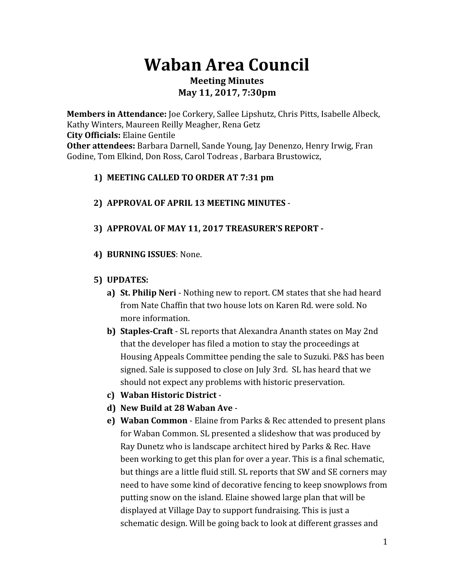# **Waban Area Council**

### **Meeting Minutes May 11, 2017, 7:30pm**

**Members in Attendance:** Joe Corkery, Sallee Lipshutz, Chris Pitts, Isabelle Albeck, Kathy Winters, Maureen Reilly Meagher, Rena Getz **City Officials:** Elaine Gentile **Other attendees:** Barbara Darnell, Sande Young, Jay Denenzo, Henry Irwig, Fran Godine, Tom Elkind, Don Ross, Carol Todreas , Barbara Brustowicz,

## **1) MEETING CALLED TO ORDER AT 7:31 pm**

## **2) APPROVAL OF APRIL 13 MEETING MINUTES** -

## **3) APPROVAL OF MAY 11, 2017 TREASURER'S REPORT -**

**4) BURNING ISSUES**: None.

## **5) UPDATES:**

- **a) St. Philip Neri** Nothing new to report. CM states that she had heard from Nate Chaffin that two house lots on Karen Rd. were sold. No more information.
- **b) Staples-Craft** SL reports that Alexandra Ananth states on May 2nd that the developer has filed a motion to stay the proceedings at Housing Appeals Committee pending the sale to Suzuki. P&S has been signed. Sale is supposed to close on July 3rd. SL has heard that we should not expect any problems with historic preservation.
- **c) Waban Historic District** -
- **d) New Build at 28 Waban Ave** -
- **e) Waban Common** Elaine from Parks & Rec attended to present plans for Waban Common. SL presented a slideshow that was produced by Ray Dunetz who is landscape architect hired by Parks & Rec. Have been working to get this plan for over a year. This is a final schematic, but things are a little fluid still. SL reports that SW and SE corners may need to have some kind of decorative fencing to keep snowplows from putting snow on the island. Elaine showed large plan that will be displayed at Village Day to support fundraising. This is just a schematic design. Will be going back to look at different grasses and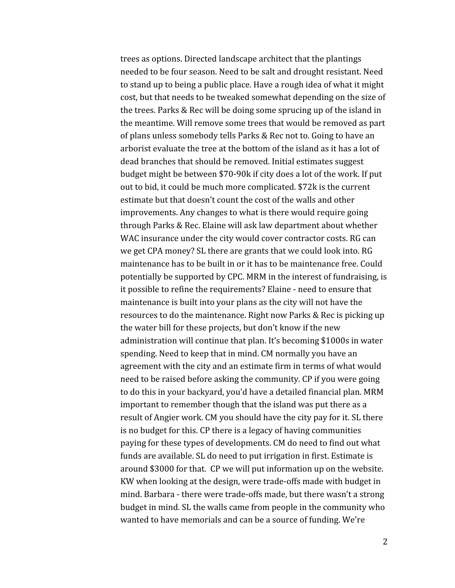trees as options. Directed landscape architect that the plantings needed to be four season. Need to be salt and drought resistant. Need to stand up to being a public place. Have a rough idea of what it might cost, but that needs to be tweaked somewhat depending on the size of the trees. Parks & Rec will be doing some sprucing up of the island in the meantime. Will remove some trees that would be removed as part of plans unless somebody tells Parks & Rec not to. Going to have an arborist evaluate the tree at the bottom of the island as it has a lot of dead branches that should be removed. Initial estimates suggest budget might be between \$70-90k if city does a lot of the work. If put out to bid, it could be much more complicated. \$72k is the current estimate but that doesn't count the cost of the walls and other improvements. Any changes to what is there would require going through Parks & Rec. Elaine will ask law department about whether WAC insurance under the city would cover contractor costs. RG can we get CPA money? SL there are grants that we could look into. RG maintenance has to be built in or it has to be maintenance free. Could potentially be supported by CPC. MRM in the interest of fundraising, is it possible to refine the requirements? Elaine - need to ensure that maintenance is built into your plans as the city will not have the resources to do the maintenance. Right now Parks & Rec is picking up the water bill for these projects, but don't know if the new administration will continue that plan. It's becoming \$1000s in water spending. Need to keep that in mind. CM normally you have an agreement with the city and an estimate firm in terms of what would need to be raised before asking the community. CP if you were going to do this in your backyard, you'd have a detailed financial plan. MRM important to remember though that the island was put there as a result of Angier work. CM you should have the city pay for it. SL there is no budget for this. CP there is a legacy of having communities paying for these types of developments. CM do need to find out what funds are available. SL do need to put irrigation in first. Estimate is around \$3000 for that. CP we will put information up on the website. KW when looking at the design, were trade-offs made with budget in mind. Barbara - there were trade-offs made, but there wasn't a strong budget in mind. SL the walls came from people in the community who wanted to have memorials and can be a source of funding. We're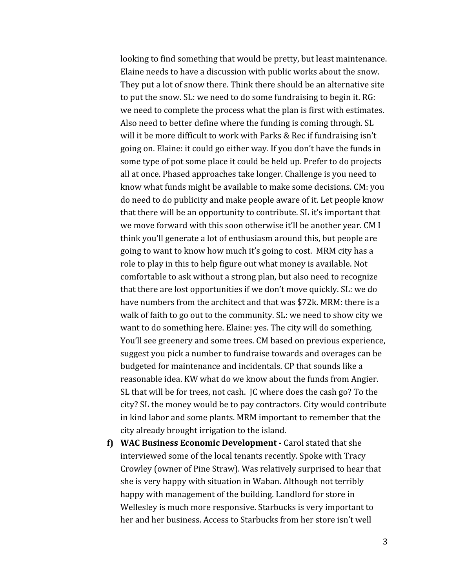looking to find something that would be pretty, but least maintenance. Elaine needs to have a discussion with public works about the snow. They put a lot of snow there. Think there should be an alternative site to put the snow. SL: we need to do some fundraising to begin it. RG: we need to complete the process what the plan is first with estimates. Also need to better define where the funding is coming through. SL will it be more difficult to work with Parks & Rec if fundraising isn't going on. Elaine: it could go either way. If you don't have the funds in some type of pot some place it could be held up. Prefer to do projects all at once. Phased approaches take longer. Challenge is you need to know what funds might be available to make some decisions. CM: you do need to do publicity and make people aware of it. Let people know that there will be an opportunity to contribute. SL it's important that we move forward with this soon otherwise it'll be another year. CM I think you'll generate a lot of enthusiasm around this, but people are going to want to know how much it's going to cost. MRM city has a role to play in this to help figure out what money is available. Not comfortable to ask without a strong plan, but also need to recognize that there are lost opportunities if we don't move quickly. SL: we do have numbers from the architect and that was \$72k. MRM: there is a walk of faith to go out to the community. SL: we need to show city we want to do something here. Elaine: yes. The city will do something. You'll see greenery and some trees. CM based on previous experience, suggest you pick a number to fundraise towards and overages can be budgeted for maintenance and incidentals. CP that sounds like a reasonable idea. KW what do we know about the funds from Angier. SL that will be for trees, not cash. JC where does the cash go? To the city? SL the money would be to pay contractors. City would contribute in kind labor and some plants. MRM important to remember that the city already brought irrigation to the island.

**f) WAC Business Economic Development -** Carol stated that she interviewed some of the local tenants recently. Spoke with Tracy Crowley (owner of Pine Straw). Was relatively surprised to hear that she is very happy with situation in Waban. Although not terribly happy with management of the building. Landlord for store in Wellesley is much more responsive. Starbucks is very important to her and her business. Access to Starbucks from her store isn't well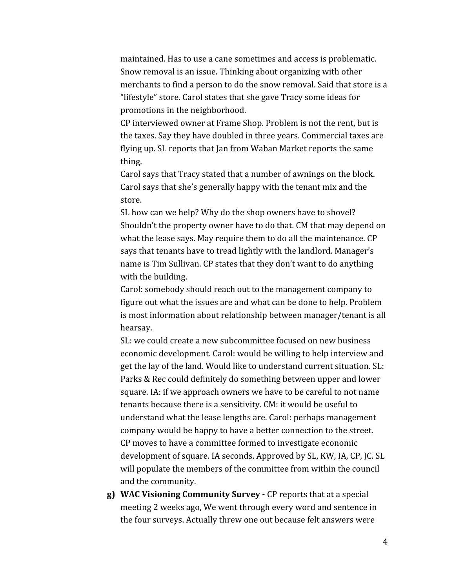maintained. Has to use a cane sometimes and access is problematic. Snow removal is an issue. Thinking about organizing with other merchants to find a person to do the snow removal. Said that store is a "lifestyle" store. Carol states that she gave Tracy some ideas for promotions in the neighborhood.

CP interviewed owner at Frame Shop. Problem is not the rent, but is the taxes. Say they have doubled in three years. Commercial taxes are flying up. SL reports that Jan from Waban Market reports the same thing.

Carol says that Tracy stated that a number of awnings on the block. Carol says that she's generally happy with the tenant mix and the store.

SL how can we help? Why do the shop owners have to shovel? Shouldn't the property owner have to do that. CM that may depend on what the lease says. May require them to do all the maintenance. CP says that tenants have to tread lightly with the landlord. Manager's name is Tim Sullivan. CP states that they don't want to do anything with the building.

Carol: somebody should reach out to the management company to figure out what the issues are and what can be done to help. Problem is most information about relationship between manager/tenant is all hearsay.

SL: we could create a new subcommittee focused on new business economic development. Carol: would be willing to help interview and get the lay of the land. Would like to understand current situation. SL: Parks & Rec could definitely do something between upper and lower square. IA: if we approach owners we have to be careful to not name tenants because there is a sensitivity. CM: it would be useful to understand what the lease lengths are. Carol: perhaps management company would be happy to have a better connection to the street. CP moves to have a committee formed to investigate economic development of square. IA seconds. Approved by SL, KW, IA, CP, JC. SL will populate the members of the committee from within the council and the community.

**g) WAC Visioning Community Survey -** CP reports that at a special meeting 2 weeks ago, We went through every word and sentence in the four surveys. Actually threw one out because felt answers were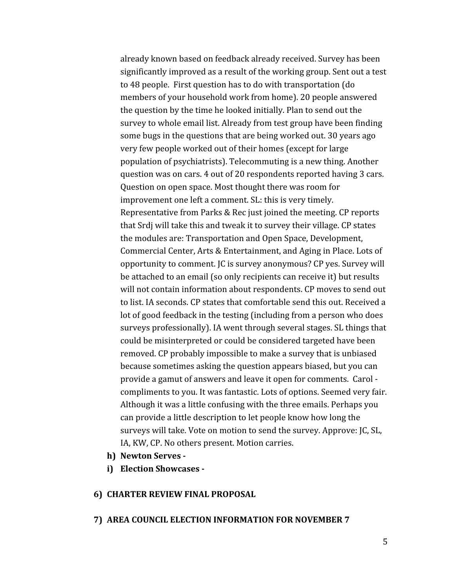already known based on feedback already received. Survey has been significantly improved as a result of the working group. Sent out a test to 48 people. First question has to do with transportation (do members of your household work from home). 20 people answered the question by the time he looked initially. Plan to send out the survey to whole email list. Already from test group have been finding some bugs in the questions that are being worked out. 30 years ago very few people worked out of their homes (except for large population of psychiatrists). Telecommuting is a new thing. Another question was on cars. 4 out of 20 respondents reported having 3 cars. Question on open space. Most thought there was room for improvement one left a comment. SL: this is very timely. Representative from Parks & Rec just joined the meeting. CP reports that Srdj will take this and tweak it to survey their village. CP states the modules are: Transportation and Open Space, Development, Commercial Center, Arts & Entertainment, and Aging in Place. Lots of opportunity to comment. JC is survey anonymous? CP yes. Survey will be attached to an email (so only recipients can receive it) but results will not contain information about respondents. CP moves to send out to list. IA seconds. CP states that comfortable send this out. Received a lot of good feedback in the testing (including from a person who does surveys professionally). IA went through several stages. SL things that could be misinterpreted or could be considered targeted have been removed. CP probably impossible to make a survey that is unbiased because sometimes asking the question appears biased, but you can provide a gamut of answers and leave it open for comments. Carol compliments to you. It was fantastic. Lots of options. Seemed very fair. Although it was a little confusing with the three emails. Perhaps you can provide a little description to let people know how long the surveys will take. Vote on motion to send the survey. Approve: JC, SL, IA, KW, CP. No others present. Motion carries.

- **h) Newton Serves -**
- **i) Election Showcases -**

#### **6) CHARTER REVIEW FINAL PROPOSAL**

#### **7) AREA COUNCIL ELECTION INFORMATION FOR NOVEMBER 7**